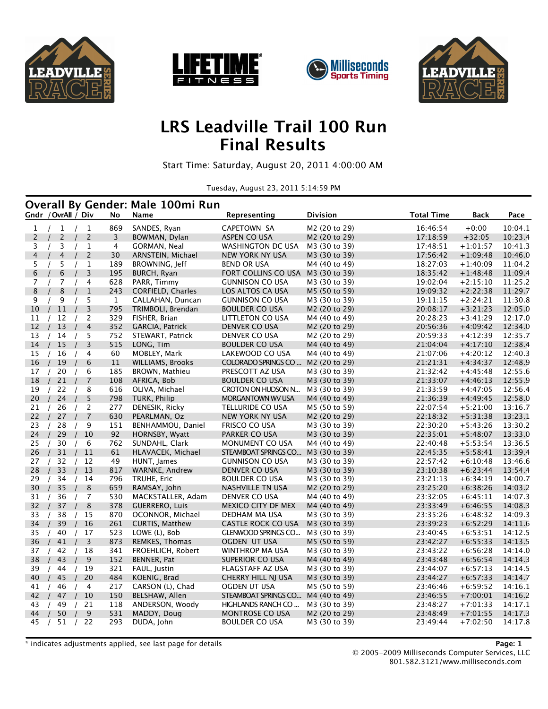







### **LRS Leadville Trail 100 Run Final Results**

Start Time: Saturday, August 20, 2011 4:00:00 AM

Tuesday, August 23, 2011 5:14:59 PM

|                |                     |                               |              | <b>Overall By Gender: Male 100mi Run</b> |                                      |                                |                      |                          |                    |
|----------------|---------------------|-------------------------------|--------------|------------------------------------------|--------------------------------------|--------------------------------|----------------------|--------------------------|--------------------|
|                | Gndr / OvrAll / Div |                               | No           | Name                                     | Representing                         | <b>Division</b>                | <b>Total Time</b>    | <b>Back</b>              | Pace               |
| $\mathbf{1}$   | /1                  | $\mathbf{1}$<br>$\frac{1}{2}$ | 869          | SANDES, Ryan                             | CAPETOWN SA                          | M2 (20 to 29)                  | 16:46:54             | $+0:00$                  | 10:04.1            |
| $\overline{c}$ | $\overline{c}$      | $\overline{c}$                | 3            | BOWMAN, Dylan                            | ASPEN CO USA                         | M2 (20 to 29)                  | 17:18:59             | $+32:05$                 | 10:23.4            |
| 3              | 3                   | $\mathbf{1}$                  | 4            | GORMAN, Neal                             | WASHINGTON DC USA                    | M3 (30 to 39)                  | 17:48:51             | $+1:01:57$               | 10:41.3            |
| 4              | $\overline{4}$      | $\overline{c}$                | 30           | ARNSTEIN, Michael                        | NEW YORK NY USA                      | M3 (30 to 39)                  | 17:56:42             | $+1:09:48$               | 10:46.0            |
| 5              | 5                   | $\mathbf{1}$                  | 189          | BROWNING, Jeff                           | <b>BEND OR USA</b>                   | M4 (40 to 49)                  | 18:27:03             | $+1:40:09$               | 11:04.2            |
| 6              | 6                   | 3                             | 195          | BURCH, Ryan                              | FORT COLLINS CO USA                  | M3 (30 to 39)                  | 18:35:42             | $+1:48:48$               | 11:09.4            |
| $\overline{7}$ | 7                   | 4                             | 628          | PARR, Timmy                              | <b>GUNNISON CO USA</b>               | M3 (30 to 39)                  | 19:02:04             | $+2:15:10$               | 11:25.2            |
| $\bf 8$        | 8                   | $\mathbf{1}$                  | 243          | <b>CORFIELD, Charles</b>                 | LOS ALTOS CA USA                     | M5 (50 to 59)                  | 19:09:32             | $+2:22:38$               | 11:29.7            |
| 9              | 9                   | 5                             | $\mathbf{1}$ | CALLAHAN, Duncan                         | <b>GUNNISON CO USA</b>               | M3 (30 to 39)                  | 19:11:15             | $+2:24:21$               | 11:30.8            |
| 10             | 11                  | 3                             | 795          | TRIMBOLI, Brendan                        | <b>BOULDER CO USA</b>                | M <sub>2</sub> (20 to 29)      | 20:08:17             | $+3:21:23$               | 12:05.0            |
| 11             | 12                  | 2                             | 329          | FISHER, Brian                            | LITTLETON CO USA                     | M4 (40 to 49)                  | 20:28:23             | $+3:41:29$               | 12:17.0            |
| 12             | 13                  | $\overline{4}$                | 352          | GARCIA, Patrick                          | DENVER CO USA                        | M2 (20 to 29)                  | 20:56:36             | $+4:09:42$               | 12:34.0            |
| 13             | 14                  | 5                             | 752          | STEWART, Patrick                         | DENVER CO USA                        | M2 (20 to 29)                  | 20:59:33             | $+4:12:39$               | 12:35.7            |
| 14             | 15                  | 3                             | 515          | LONG, Tim                                | <b>BOULDER CO USA</b>                | M4 (40 to 49)                  | 21:04:04             | $+4:17:10$               | 12:38.4            |
| 15             | 16                  | 4                             | 60           | MOBLEY, Mark                             | LAKEWOOD CO USA                      | M4 (40 to 49)                  | 21:07:06             | $+4:20:12$               | 12:40.3            |
| 16             | 19                  | 6                             | 11           | <b>WILLIAMS, Brooks</b>                  | COLORADO SPRINGS CO                  | M2 (20 to 29)                  | 21:21:31             | $+4:34:37$               | 12:48.9            |
| 17             | 20                  | 6                             | 185          | BROWN, Mathieu                           | PRESCOTT AZ USA                      | M3 (30 to 39)                  | 21:32:42             | $+4:45:48$               | 12:55.6            |
| 18             | 21                  | $\overline{7}$                | 108          | AFRICA, Bob                              | <b>BOULDER CO USA</b>                | M3 (30 to 39)                  | 21:33:07             | $+4:46:13$               | 12:55.9            |
| 19             | 22<br>$\sqrt{ }$    | 8<br>$\sqrt{ }$               | 616          | OLIVA, Michael                           | CROTON ON HUDSON N                   | M3 (30 to 39)                  | 21:33:59             | $+4:47:05$               | 12:56.4            |
| 20             | 24                  | 5                             | 798          | TURK, Philip                             | MORGANTOWN WV USA                    | M4 (40 to 49)                  | 21:36:39             | $+4:49:45$               | 12:58.0            |
| 21             | 26<br>$\sqrt{ }$    | $\overline{c}$<br>$\sqrt{ }$  | 277          | DENESIK, Ricky                           | TELLURIDE CO USA                     | M5 (50 to 59)                  | 22:07:54             | $+5:21:00$               | 13:16.7            |
| 22             | 27                  | $\overline{7}$                | 630          | PEARLMAN, Oz                             | NEW YORK NY USA                      | M <sub>2</sub> (20 to 29)      | 22:18:32             | $+5:31:38$               | 13:23.1            |
| 23             | 28<br>$\prime$      | 9                             | 151          | BENHAMMOU, Daniel                        | FRISCO CO USA                        | M3 (30 to 39)                  | 22:30:20             | $+5:43:26$               | 13:30.2            |
| 24             | 29                  | 10                            | 92           | HORNSBY, Wyatt                           | PARKER CO USA                        | M3 (30 to 39)                  | 22:35:01             | $+5:48:07$               | 13:33.0            |
| 25             | 30                  | 6<br>$\prime$                 | 762          | SUNDAHL, Clark                           | MONUMENT CO USA                      | M4 (40 to 49)                  | 22:40:48             | $+5:53:54$               | 13:36.5            |
| 26             | 31<br>$\prime$      | 11<br>$\prime$                | 61           | HLAVACEK, Michael                        | STEAMBOAT SPRINGS CO                 | M3 (30 to 39)                  | 22:45:35             | $+5:58:41$               | 13:39.4            |
| 27             | 32                  | 12                            | 49           | HUNT, James                              | <b>GUNNISON CO USA</b>               | M3 (30 to 39)                  | 22:57:42             | $+6:10:48$               | 13:46.6            |
| 28             | 33<br>$\sqrt{ }$    | 13<br>$\sqrt{ }$              | 817          | <b>WARNKE, Andrew</b>                    | DENVER CO USA                        | M3 (30 to 39)                  | 23:10:38             | $+6:23:44$               | 13:54.4            |
| 29             | 34                  | 14                            | 796          | TRUHE, Eric                              | <b>BOULDER CO USA</b>                | M3 (30 to 39)                  | 23:21:13             | $+6:34:19$               | 14:00.7            |
| 30             | 35<br>$\sqrt{ }$    | 8                             | 659          | RAMSAY, John                             | NASHVILLE TN USA                     | M <sub>2</sub> (20 to 29)      | 23:25:20             | $+6:38:26$               | 14:03.2            |
| 31             | 36                  | 7                             | 530          | MACKSTALLER, Adam                        | DENVER CO USA                        | M4 (40 to 49)                  | 23:32:05             | $+6:45:11$               | 14:07.3            |
| 32             | 37                  | 8                             | 378          | <b>GUERRERO, Luis</b>                    | MEXICO CITY DF MEX                   | M4 (40 to 49)                  | 23:33:49             | $+6:46:55$               | 14:08.3            |
| 33             | 38                  | 15                            | 870          | OCONNOR, Michael                         | DEDHAM MA USA                        | M3 (30 to 39)                  | 23:35:26             | $+6:48:32$               | 14:09.3            |
| 34             | 39                  | 16                            | 261          | CURTIS, Matthew                          | CASTLE ROCK CO USA                   | M3 (30 to 39)                  | 23:39:23             | $+6:52:29$               | 14:11.6            |
| 35             | 40                  | 17                            | 523          | LOWE (L), Bob                            | GLENWOOD SPRINGS CO                  | M3 (30 to 39)                  | 23:40:45             | $+6:53:51$               | 14:12.5            |
| 36             | 41                  | 3                             | 873          | REMKES, Thomas                           | OGDEN UT USA                         | M5 (50 to 59)                  | 23:42:27             | $+6:55:33$               | 14:13.5            |
| 37             | 42<br>$\prime$      | 18                            | 341          | FROEHLICH, Robert                        | <b>WINTHROP MA USA</b>               | M3 (30 to 39)                  | 23:43:22             | $+6:56:28$               | 14:14.0            |
| 38             | 43                  | 9                             | 152          | BENNER, Pat                              | <b>SUPERIOR CO USA</b>               | M4 (40 to 49)                  | 23:43:48             | $+6:56:54$               | 14:14.3            |
| 39<br>40       | 44                  | 19<br>20                      | 321<br>484   | FAUL, Justin                             | FLAGSTAFF AZ USA                     | M3 (30 to 39)                  | 23:44:07             | $+6:57:13$               | 14:14.5            |
|                | 45                  |                               | 217          | KOENIG, Brad                             | CHERRY HILL NJ USA                   | M3 (30 to 39)                  | 23:44:27             | $+6:57:33$               | 14:14.7            |
| 41<br>42       | 46<br>47            | 4<br>10                       | 150          | CARSON (L), Chad<br>BELSHAW, Allen       | OGDEN UT USA<br>STEAMBOAT SPRINGS CO | M5 (50 to 59)<br>M4 (40 to 49) | 23:46:46<br>23:46:55 | $+6:59:52$<br>$+7:00:01$ | 14:16.1<br>14:16.2 |
| 43             | 49                  | 21                            | 118          | ANDERSON, Woody                          | HIGHLANDS RANCH CO                   | M3 (30 to 39)                  | 23:48:27             | $+7:01:33$               | 14:17.1            |
| 44             | 50                  | 9                             | 531          | MADDY, Doug                              | <b>MONTROSE CO USA</b>               | M2 (20 to 29)                  | 23:48:49             | $+7:01:55$               | 14:17.3            |
| 45             | 51<br>$\sqrt{ }$    | /22                           | 293          | DUDA, John                               | <b>BOULDER CO USA</b>                | M3 (30 to 39)                  | 23:49:44             | $+7:02:50$               | 14:17.8            |
|                |                     |                               |              |                                          |                                      |                                |                      |                          |                    |

\* indicates adjustments applied, see last page for details **Page: 1**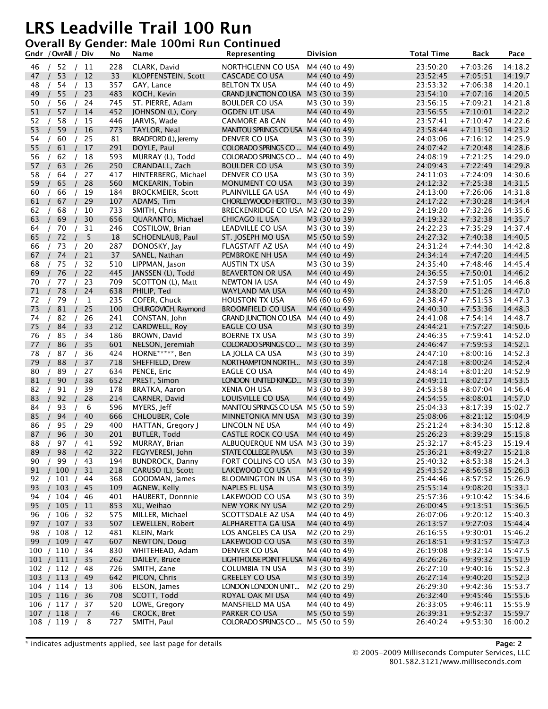#### **Overall By Gender: Male 100mi Run Continued**

|          | Gndr /OvrAll / Div             |          | No         | Name                           | Representing                          | <b>Division</b>                | <b>Total Time</b>    | Back                     | Pace               |
|----------|--------------------------------|----------|------------|--------------------------------|---------------------------------------|--------------------------------|----------------------|--------------------------|--------------------|
| 46       | /52 /11                        |          | 228        | CLARK, David                   | NORTHGLENN CO USA                     | M4 (40 to 49)                  | 23:50:20             | $+7:03:26$               | 14:18.2            |
| 47       | 53                             | 12       | 33         | KLOPFENSTEIN, Scott            | <b>CASCADE CO USA</b>                 | M4 (40 to 49)                  | 23:52:45             | $+7:05:51$               | 14:19.7            |
| 48       | 54                             | 13       | 357        | GAY, Lance                     | <b>BELTON TX USA</b>                  | M4 (40 to 49)                  | 23:53:32             | $+7:06:38$               | 14:20.1            |
| 49       | 55                             | 23       | 483        | KOCH, Kevin                    | <b>GRAND JUNCTION CO USA</b>          | M3 (30 to 39)                  | 23:54:10             | $+7:07:16$               | 14:20.5            |
| 50       | 56                             | 24       | 745        | ST. PIERRE, Adam               | BOULDER CO USA                        | M3 (30 to 39)                  | 23:56:15             | $+7:09:21$               | 14:21.8            |
| 51       | 57                             | 14       | 452        | JOHNSON (L), Cory              | OGDEN UT USA                          | M4 (40 to 49)                  | 23:56:55             | $+7:10:01$               | 14:22.2            |
| 52       | 58                             | 15       | 446        | JARVIS, Wade                   | <b>CANMORE AB CAN</b>                 | M4 (40 to 49)                  | 23:57:41             | $+7:10:47$               | 14:22.6            |
| 53       | 59                             | 16       | 773        | TAYLOR, Neal                   | MANITOU SPRINGS CO USA M4 (40 to 49)  |                                | 23:58:44             | $+7:11:50$               | 14:23.2            |
| 54       | 60                             | 25       | 81         | BRADFORD (L), Jeremy           | DENVER CO USA                         | M3 (30 to 39)                  | 24:03:06             | $+7:16:12$               | 14:25.9            |
| 55       | 61                             | 17       | 291        | DOYLE, Paul                    | COLORADO SPRINGS CO                   | M4 (40 to 49)                  | 24:07:42             | $+7:20:48$               | 14:28.6            |
| 56       | 62                             | 18       | 593        | MURRAY (L), Todd               | COLORADO SPRINGS CO                   | M4 (40 to 49)                  | 24:08:19             | $+7:21:25$               | 14:29.0            |
| 57       | 63                             | 26       | 250        | CRANDALL, Zach                 | <b>BOULDER CO USA</b>                 | M3 (30 to 39)                  | 24:09:43             | $+7:22:49$               | 14:29.8            |
| 58       | 64                             | 27       | 417        | HINTERBERG, Michael            | DENVER CO USA                         | M3 (30 to 39)                  | 24:11:03             | $+7:24:09$               | 14:30.6            |
| 59       | 65                             | 28       | 560        | MCKEARIN, Tobin                | MONUMENT CO USA                       | M3 (30 to 39)                  | 24:12:32             | $+7:25:38$               | 14:31.5            |
| 60       | 66                             | 19       | 184        | <b>BROCKMEIER, Scott</b>       | PLAINVILLE GA USA                     | M4 (40 to 49)                  | 24:13:00             | $+7:26:06$               | 14:31.8            |
| 61       | 67                             | 29       | 107        | ADAMS, Tim                     | CHORLEYWOOD HERTFO                    | M3 (30 to 39)                  | 24:17:22             | $+7:30:28$               | 14:34.4            |
| 62       | 68                             | 10       | 733        | SMITH, Chris                   | BRECKENRIDGE CO USA M2 (20 to 29)     |                                | 24:19:20             | $+7:32:26$               | 14:35.6            |
| 63       | 69                             | 30       | 656        | QUARANTO, Michael              | CHICAGO IL USA                        | M3 (30 to 39)                  | 24:19:32             | $+7:32:38$               | 14:35.7            |
| 64       | 70                             | 31       | 246        | COSTILOW, Brian                | LEADVILLE CO USA                      | M3 (30 to 39)                  | 24:22:23             | $+7:35:29$               | 14:37.4            |
| 65       | 72                             | 5        | 18         | SCHOENLAUB, Paul               | ST. JOSEPH MO USA                     | M5 (50 to 59)                  | 24:27:32             | $+7:40:38$               | 14:40.5            |
| 66       | 73                             | 20       | 287        | DONOSKY, Jay                   | FLAGSTAFF AZ USA                      | M4 (40 to 49)                  | 24:31:24             | $+7:44:30$               | 14:42.8            |
| 67       | 74                             | 21       | 37         | SANEL, Nathan                  | PEMBROKE NH USA                       | M4 (40 to 49)                  | 24:34:14             | $+7:47:20$               | 14:44.5            |
| 68       | 75                             | 32       | 510        | LIPPMAN, Jason                 | AUSTIN TX USA                         | M3 (30 to 39)                  | 24:35:40             | $+7:48:46$               | 14:45.4            |
| 69       | 76                             | 22       | 445        | JANSSEN (L), Todd              | <b>BEAVERTON OR USA</b>               | M4 (40 to 49)                  | 24:36:55             | $+7:50:01$               | 14:46.2            |
| 70       | 77                             | 23       | 709        | SCOTTON (L), Matt              | NEWTON IA USA                         | M4 (40 to 49)                  | 24:37:59             | $+7:51:05$               | 14:46.8            |
| 71       | 78                             | 24       | 638        |                                |                                       | M4 (40 to 49)                  | 24:38:20             | $+7:51:26$               | 14:47.0            |
| 72       | 79                             | 1        | 235        | PHILIP, Ted<br>COFER, Chuck    | WAYLAND MA USA<br>HOUSTON TX USA      | M6 (60 to 69)                  | 24:38:47             | $+7:51:53$               | 14:47.3            |
| 73       | 81                             | 25       | 100        | CHURGOVICH, Raymond            | <b>BROOMFIELD CO USA</b>              | M4 (40 to 49)                  | 24:40:30             | $+7:53:36$               | 14:48.3            |
|          |                                |          |            |                                |                                       |                                |                      |                          |                    |
| 74<br>75 | 82<br>84                       | 26<br>33 | 241<br>212 | CONSTAN, John<br>CARDWELL, Roy | <b>GRAND JUNCTION CO USA</b>          | M4 (40 to 49)<br>M3 (30 to 39) | 24:41:08<br>24:44:21 | $+7:54:14$<br>$+7:57:27$ | 14:48.7<br>14:50.6 |
| 76       |                                |          | 186        |                                | EAGLE CO USA                          |                                |                      |                          |                    |
|          | 85                             | 34       |            | BROWN, David                   | <b>BOERNE TX USA</b>                  | M3 (30 to 39)                  | 24:46:35             | $+7:59:41$               | 14:52.0            |
| 77       | 86                             | 35       | 601        | NELSON, Jeremiah               | COLORADO SPRINGS CO                   | M3 (30 to 39)                  | 24:46:47             | $+7:59:53$               | 14:52.1            |
| 78       | 87<br>$\prime$                 | 36       | 424        | HORNE*****, Ben                | LA JOLLA CA USA                       | M3 (30 to 39)                  | 24:47:10             | $+8:00:16$               | 14:52.3            |
| 79       | 88                             | 37       | 718        | SHEFFIELD, Drew                | NORTHAMPTON NORTH                     | M3 (30 to 39)                  | 24:47:18             | $+8:00:24$               | 14:52.4            |
| 80       | 89                             | 27       | 634        | PENCE, Eric                    | EAGLE CO USA                          | M4 (40 to 49)                  | 24:48:14             | $+8:01:20$               | 14:52.9            |
| 81       | 90                             | 38       | 652        | PREST, Simon                   | LONDON UNITED KINGD                   | M3 (30 to 39)                  | 24:49:11             | $+8:02:17$               | 14:53.5            |
| 82       | 91                             | 39       | 178        | <b>BRATKA, Aaron</b>           | XENIA OH USA                          | M3 (30 to 39)                  | 24:53:58             | $+8:07:04$               | 14:56.4            |
| 83       | 92                             | 28       | 214        | CARNER, David                  | LOUISVILLE CO USA                     | M4 (40 to 49)                  | 24:54:55             | $+8:08:01$               | 14:57.0            |
| 84       | 93                             | 6        | 596        | MYERS, Jeff                    | MANITOU SPRINGS CO USA M5 (50 to 59)  |                                | 25:04:33             | $+8:17:39$               | 15:02.7            |
| 85       | 94                             | 40       | 666        | CHLOUBER, Cole                 | MINNETONKA MN USA                     | M3 (30 to 39)                  | 25:08:06             | $+8:21:12$               | 15:04.9            |
| 86       | 95                             | 29       | 400        | HATTAN, Gregory J              | LINCOLN NE USA                        | M4 (40 to 49)                  | 25:21:24             | $+8:34:30$               | 15:12.8            |
| 87       | 96                             | 30       | 201        | <b>BUTLER, Todd</b>            | CASTLE ROCK CO USA                    | M4 (40 to 49)                  | 25:26:23             | $+8:39:29$               | 15:15.8            |
| 88       | 97<br>$\prime$                 | 41       | 592        | MURRAY, Brian                  | ALBUQUERQUE NM USA M3 (30 to 39)      |                                | 25:32:17             | $+8:45:23$               | 15:19.4            |
| 89       | 98/                            | 42       | 322        | FEGYVERESI, John               | STATE COLLEGE PA USA                  | M3 (30 to 39)                  | 25:36:21             | $+8:49:27$               | 15:21.8            |
| 90       | 99<br>$\sqrt{2}$<br>$\sqrt{ }$ | 43       | 194        | <b>BUNDROCK, Danny</b>         | FORT COLLINS CO USA                   | M3 (30 to 39)                  | 25:40:32             | $+8:53:38$               | 15:24.3            |
| 91       | / 100 /                        | 31       | 218        | CARUSO (L), Scott              | LAKEWOOD CO USA                       | M4 (40 to 49)                  | 25:43:52             | $+8:56:58$               | 15:26.3            |
| 92       | $/$ 101 $/$                    | 44       | 368        | GOODMAN, James                 | BLOOMINGTON IN USA                    | M3 (30 to 39)                  | 25:44:46             | $+8:57:52$               | 15:26.9            |
| 93       | / 103 /                        | 45       | 109        | AGNEW, Kelly                   | NAPLES FL USA                         | M3 (30 to 39)                  | 25:55:14             | $+9:08:20$               | 15:33.1            |
| 94       | / 104 /                        | 46       | 401        | HAUBERT, Donnnie               | LAKEWOOD CO USA                       | M3 (30 to 39)                  | 25:57:36             | $+9:10:42$               | 15:34.6            |
| 95       | / 105 /                        | 11       | 853        | XU, Weihao                     | NEW YORK NY USA                       | M2 (20 to 29)                  | 26:00:45             | $+9:13:51$               | 15:36.5            |
| 96       | / 106 /                        | 32       | 575        | MILLER, Michael                | SCOTTSDALE AZ USA                     | M4 (40 to 49)                  | 26:07:06             | $+9:20:12$               | 15:40.3            |
| 97       | $/$ 107 $/$                    | 33       | 507        | LEWELLEN, Robert               | ALPHARETTA GA USA                     | M4 (40 to 49)                  | 26:13:57             | $+9:27:03$               | 15:44.4            |
| 98       | / 108 / 12                     |          | 481        | KLEIN, Mark                    | LOS ANGELES CA USA                    | M2 (20 to 29)                  | 26:16:55             | $+9:30:01$               | 15:46.2            |
| 99       | /109/                          | 47       | 607        | NEWTON, Doug                   | LAKEWOOD CO USA                       | M3 (30 to 39)                  | 26:18:51             | $+9:31:57$               | 15:47.3            |
|          | 100 / 110 /                    | 34       | 830        | WHITEHEAD, Adam                | DENVER CO USA                         | M4 (40 to 49)                  | 26:19:08             | $+9:32:14$               | 15:47.5            |
|          | 101 / 111 /                    | 35       | 262        | DAILEY, Bruce                  | LIGHTHOUSE POINT FL USA M4 (40 to 49) |                                | 26:26:26             | $+9:39:32$               | 15:51.9            |
|          | 102 / 112 /                    | 48       | 726        | SMITH, Zane                    | COLUMBIA TN USA                       | M3 (30 to 39)                  | 26:27:10             | $+9:40:16$               | 15:52.3            |
|          | 103 / 113 /                    | 49       | 642        | PICON, Chris                   | <b>GREELEY CO USA</b>                 | M3 (30 to 39)                  | 26:27:14             | $+9:40:20$               | 15:52.3            |
|          | 104 / 114 / 13                 |          | 306        | ELSON, James                   | LONDON LONDON UNIT                    | M2 (20 to 29)                  | 26:29:30             | $+9:42:36$               | 15:53.7            |
|          | 105 / 116 /                    | 36       | 708        | SCOTT, Todd                    | ROYAL OAK MI USA                      | M4 (40 to 49)                  | 26:32:40             | $+9:45:46$               | 15:55.6            |
|          | 106 / 117 /                    | 37       | 520        | LOWE, Gregory                  | MANSFIELD MA USA                      | M4 (40 to 49)                  | 26:33:05             | $+9:46:11$               | 15:55.9            |
|          | 107 / 118 /                    | 7        | 46         | CROCK, Bret                    | PARKER CO USA                         | M5 (50 to 59)                  | 26:39:31             | $+9:52:37$               | 15:59.7            |
|          | 108 / 119 /                    | 8        | 727        | SMITH, Paul                    | COLORADO SPRINGS CO  M5 (50 to 59)    |                                | 26:40:24             | $+9:53:30$               | 16:00.2            |

\* indicates adjustments applied, see last page for details **Page: 2**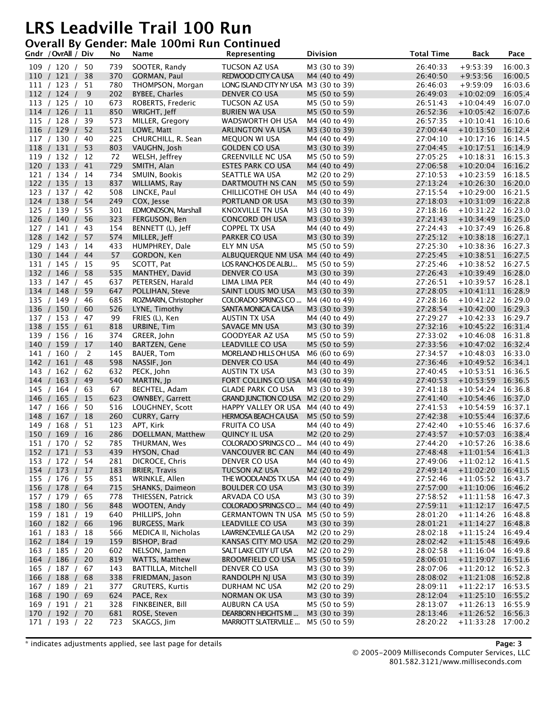### **Overall By Gender: Male 100mi Run Continued**

| Gndr / OvrAll / Div           |          | No         | Name                          | Representing                                  | <b>Division</b>                | <b>Total Time</b>    | <b>Back</b>                                | Pace    |
|-------------------------------|----------|------------|-------------------------------|-----------------------------------------------|--------------------------------|----------------------|--------------------------------------------|---------|
| 109 / 120 / 50                |          | 739        | SOOTER, Randy                 | TUCSON AZ USA                                 | M3 (30 to 39)                  | 26:40:33             | $+9:53:39$                                 | 16:00.3 |
| 110 / 121 /                   | 38       | 370        | GORMAN, Paul                  | REDWOOD CITY CA USA                           | M4 (40 to 49)                  | 26:40:50             | $+9:53:56$                                 | 16:00.5 |
| 111 / 123 /                   | 51       | 780        | THOMPSON, Morgan              | LONG ISLAND CITY NY USA M3 (30 to 39)         |                                | 26:46:03             | $+9:59:09$                                 | 16:03.6 |
| 112 / 124 /                   | 9        | 202        | <b>BYBEE, Charles</b>         | DENVER CO USA                                 | M5 (50 to 59)                  | 26:49:03             | $+10:02:09$                                | 16:05.4 |
| 113 / 125 / 10                |          | 673        | ROBERTS, Frederic             | TUCSON AZ USA                                 | M5 (50 to 59)                  | 26:51:43             | $+10:04:49$                                | 16:07.0 |
| 114 / 126 /                   | 11       | 850        | WRIGHT, Jeff                  | <b>BURIEN WA USA</b>                          | M5 (50 to 59)                  | 26:52:36             | $+10:05:42$ 16:07.6                        |         |
| 115 / 128 /                   | 39       | 573        | MILLER, Gregory               | WADSWORTH OH USA                              | M4 (40 to 49)                  | 26:57:35             | $+10:10:41$ 16:10.6                        |         |
| 116 / 129 /                   | 52       | 521        | LOWE, Matt                    | ARLINGTON VA USA                              | M3 (30 to 39)                  | 27:00:44             | $+10:13:50$ 16:12.4                        |         |
| 117 / 130 /                   | 40       | 225        | CHURCHILL, R. Sean            | <b>MEQUON WI USA</b>                          | M4 (40 to 49)                  | 27:04:10             | $+10:17:16$                                | 16:14.5 |
| 118 / 131 /                   | 53       | 803        | VAUGHN, Josh                  | <b>GOLDEN CO USA</b>                          | M3 (30 to 39)                  | 27:04:45             | $+10:17:51$ 16:14.9                        |         |
| 119 / 132 /                   | 12       | 72         | WELSH, Jeffrey                | <b>GREENVILLE NC USA</b>                      | M5 (50 to 59)                  | 27:05:25             | $+10:18:31$ 16:15.3                        |         |
| 120 / 133 /                   | 41       | 729        | SMITH, Alan                   | ESTES PARK CO USA                             | M4 (40 to 49)                  | 27:06:58             | $+10:20:04$                                | 16:16.2 |
| 121 / 134 /                   | 14       | 734        | SMUIN, Bookis                 | SEATTLE WA USA                                | M2 (20 to 29)                  | 27:10:53             | $+10:23:59$                                | 16:18.5 |
| 122 / 135 /                   | 13       | 837        | WILLIAMS, Ray                 | DARTMOUTH NS CAN                              | M5 (50 to 59)                  | 27:13:24             | $+10:26:30$ 16:20.0                        |         |
| 123 / 137 /                   | 42       | 508        | LINCKE, Paul                  | CHILLICOTHE OH USA                            | M4 (40 to 49)                  | 27:15:54             | $+10:29:00$                                | 16:21.5 |
| 124 / 138 /                   | 54       | 249        | COX, Jesse                    | PORTLAND OR USA                               | M3 (30 to 39)                  | 27:18:03             | $+10:31:09$ 16:22.8                        |         |
| 125 / 139 /                   | 55       | 301        | EDMONDSON, Marshall           | KNOXVILLE TN USA                              | M3 (30 to 39)                  | 27:18:16             | $+10:31:22$ 16:23.0                        |         |
| 126 / 140 /                   | 56       | 323        | FERGUSON, Ben                 | CONCORD OH USA                                | M3 (30 to 39)                  | 27:21:43             | $+10:34:49$                                | 16:25.0 |
| 127 / 141 /                   | 43       | 154        | BENNETT (L), Jeff             | <b>COPPEL TX USA</b>                          | M4 (40 to 49)                  | 27:24:43             | $+10:37:49$                                | 16:26.8 |
| 128 / 142 /                   | 57       | 574        | MILLER, Jeff                  | PARKER CO USA                                 | M3 (30 to 39)                  | 27:25:12             | $+10:38:18$ 16:27.1                        |         |
| 129 / 143 /                   | 14       | 433        | HUMPHREY, Dale                | ELY MN USA                                    | M5 (50 to 59)                  | 27:25:30             | $+10:38:36$                                | 16:27.3 |
| 130 / 144 /                   | 44       | 57         | GORDON, Ken                   | ALBUQUERQUE NM USA M4 (40 to 49)              |                                | 27:25:45             | $+10:38:51$ 16:27.5                        |         |
| 131 / 145 /                   | 15       | 95         | SCOTT, Pat                    | LOS RANCHOS DE ALBU                           | M5 (50 to 59)                  | 27:25:46             | $+10:38:52$                                | 16:27.5 |
| 132 / 146 /                   | 58       | 535        | MANTHEY, David                | DENVER CO USA                                 | M3 (30 to 39)                  | 27:26:43             | $+10:39:49$                                | 16:28.0 |
| 133 / 147 /                   | 45       | 637        | PETERSEN, Harald              | LIMA LIMA PER                                 | M4 (40 to 49)                  | 27:26:51             | $+10:39:57$ 16:28.1                        |         |
| 134 / 148 /                   | 59       | 647        | POLLIHAN, Steve               | SAINT LOUIS MO USA                            | M3 (30 to 39)                  | 27:28:05             | $+10:41:11$ 16:28.9                        |         |
| 135 / 149 /                   | 46       | 685        | ROZMARIN, Christopher         | COLORADO SPRINGS CO                           | M4 (40 to 49)                  | 27:28:16             | $+10:41:22$                                | 16:29.0 |
| 136 / 150 /                   | 60       | 526        | LYNE, Timothy                 | SANTA MONICA CA USA                           | M3 (30 to 39)                  | 27:28:54             | $+10:42:00$ 16:29.3                        |         |
| 137 / 153 /                   | 47       | 99         | FRIES (L), Ken                | AUSTIN TX USA                                 | M4 (40 to 49)                  | 27:29:27             | $+10:42:33$                                | 16:29.7 |
| 138 / 155 /                   | 61       | 818        | URBINE, Tim                   | SAVAGE MN USA                                 | M3 (30 to 39)                  | 27:32:16             | $+10:45:22$                                | 16:31.4 |
| 139 / 156 /                   | 16       | 374        | GREER, John                   | GOODYEAR AZ USA                               | M5 (50 to 59)                  | 27:33:02             | $+10:46:08$ 16:31.8                        |         |
| 140 / 159 /                   | 17       | 140        | BARTZEN, Gene                 | LEADVILLE CO USA                              | M5 (50 to 59)                  | 27:33:56             | $+10:47:02$ 16:32.4                        |         |
| 141 / 160 /                   | 2        | 145        | <b>BAUER, Tom</b>             | MORELAND HILLS OH USA                         | M6 (60 to 69)                  | 27:34:57             | $+10:48:03$                                | 16:33.0 |
| 142 / 161 /                   | 48       | 598        | NASSIF, Jon                   | DENVER CO USA                                 | M4 (40 to 49)                  | 27:36:46             | $+10:49:52$ 16:34.1                        |         |
| 143 / 162 /                   | 62       | 632        | PECK, John                    | AUSTIN TX USA                                 | M3 (30 to 39)                  | 27:40:45             | $+10:53:51$ 16:36.5                        |         |
| 144 / 163 /                   | 49       | 540        | MARTIN, Jp                    | FORT COLLINS CO USA                           | M4 (40 to 49)                  | 27:40:53             | $+10:53:59$                                | 16:36.5 |
| 145 / 164 /                   | 63       | 67         | BECHTEL, Adam                 | GLADE PARK CO USA                             | M3 (30 to 39)                  | 27:41:18             | $+10:54:24$ 16:36.8                        |         |
| 146 / 165 /                   | 15       | 623        | <b>OWNBEY, Garrett</b>        | <b>GRAND JUNCTION CO USA</b>                  | M2 (20 to 29)                  | 27:41:40             | $+10:54:46$ 16:37.0                        |         |
| 147 / 166 /                   | 50       | 516        | LOUGHNEY, Scott               | HAPPY VALLEY OR USA                           | M4 (40 to 49)                  | 27:41:53             | $+10:54:59$ 16:37.1                        |         |
| 148 / 167 /                   | 18       | 260        | CURRY, Garry                  | <b>HERMOSA BEACH CA USA</b>                   | M5 (50 to 59)                  | 27:42:38             | $+10:55:44$ 16:37.6                        |         |
| 149 / 168 /                   | 51       | 123        | APT, Kirk                     | <b>FRUITA CO USA</b>                          | M4 (40 to 49)                  | 27:42:40             | $+10:55:46$ 16:37.6                        |         |
| 150 / 169 /                   | 16       | 286        | DOELLMAN, Matthew             | <b>QUINCY IL USA</b>                          | M <sub>2</sub> (20 to 29)      | 27:43:57             | $+10:57:03$                                | 16:38.4 |
| 151 / 170 / 52                |          | 785        | THURMAN, Wes                  | COLORADO SPRINGS CO  M4 (40 to 49)            |                                | 27:44:20             | $+10:57:26$ 16:38.6                        |         |
| 152 / 171 /                   | 53       | 439        | HYSON, Chad<br>DICROCE, Chris | VANCOUVER BC CAN                              | M4 (40 to 49)                  | 27:48:48             | $+11:01:54$ 16:41.3                        |         |
| 153 / 172 /                   | 54<br>17 | 281<br>183 | <b>BRIER, Travis</b>          | DENVER CO USA<br>TUCSON AZ USA                | M4 (40 to 49)<br>M2 (20 to 29) | 27:49:06<br>27:49:14 | $+11:02:12$ 16:41.5<br>$+11:02:20$ 16:41.5 |         |
| 154 / 173 /                   |          |            | WRINKLE, Allen                |                                               |                                |                      |                                            |         |
| 155 / 176 / 55<br>156 / 178 / | 64       | 851<br>715 | SHANKS, Daimeon               | THE WOODLANDS TX USA<br><b>BOULDER CO USA</b> | M4 (40 to 49)<br>M3 (30 to 39) | 27:52:46<br>27:57:00 | $+11:05:52$ 16:43.7<br>$+11:10:06$         | 16:46.2 |
| 157 / 179 /                   | 65       | 778        | THIESSEN, Patrick             | ARVADA CO USA                                 | M3 (30 to 39)                  | 27:58:52             | $+11:11:58$ 16:47.3                        |         |
| 158 / 180 /                   | 56       | 848        | WOOTEN, Andy                  | COLORADO SPRINGS CO                           | M4 (40 to 49)                  | 27:59:11             | $+11:12:17$ 16:47.5                        |         |
| 159 / 181 /                   | 19       | 640        | PHILLIPS, John                | GERMANTOWN TN USA M5 (50 to 59)               |                                | 28:01:20             | $+11:14:26$ 16:48.8                        |         |
| 160 / 182 /                   | 66       | 196        | <b>BURGESS, Mark</b>          | LEADVILLE CO USA                              | M3 (30 to 39)                  | 28:01:21             | $+11:14:27$ 16:48.8                        |         |
| 161 / 183 /                   | 18       | 566        | MEDICA II, Nicholas           | LAWRENCEVILLE GA USA                          | M2 (20 to 29)                  | 28:02:18             | $+11:15:24$ 16:49.4                        |         |
| 162 / 184 /                   | 19       | 159        | BISHOP, Brad                  | KANSAS CITY MO USA                            | M2 (20 to 29)                  | 28:02:42             | $+11:15:48$ 16:49.6                        |         |
| 163 / 185 /                   | 20       | 602        | NELSON, Jamen                 | SALT LAKE CITY UT USA                         | M2 (20 to 29)                  | 28:02:58             | $+11:16:04$ 16:49.8                        |         |
| 164 / 186 /                   | 20       | 819        | WATTS, Matthew                | <b>BROOMFIELD CO USA</b>                      | M5 (50 to 59)                  | 28:06:01             | $+11:19:07$ 16:51.6                        |         |
| 165 / 187 /                   | 67       | 143        | BATTILLA, Mitchell            | DENVER CO USA                                 | M3 (30 to 39)                  | 28:07:06             | $+11:20:12$ 16:52.3                        |         |
| 166 / 188 /                   | 68       | 338        | FRIEDMAN, Jason               | RANDOLPH NJ USA                               | M3 (30 to 39)                  | 28:08:02             | $+11:21:08$ 16:52.8                        |         |
| 167 / 189 / 21                |          | 377        | <b>GRUTERS, Kurtis</b>        | DURHAM NC USA                                 | M2 (20 to 29)                  | 28:09:11             | $+11:22:17$ 16:53.5                        |         |
| 168 / 190 /                   | 69       | 624        | PACE, Rex                     | NORMAN OK USA                                 | M3 (30 to 39)                  | 28:12:04             | $+11:25:10$ 16:55.2                        |         |
| 169 / 191 / 21                |          | 328        | FINKBEINER, Bill              | AUBURN CA USA                                 | M5 (50 to 59)                  | 28:13:07             | $+11:26:13$ 16:55.9                        |         |
| 170 / 192 / 70                |          | 681        | ROSE, Steven                  | DEARBORN HEIGHTS MI                           | M3 (30 to 39)                  | 28:13:46             | $+11:26:52$ 16:56.3                        |         |
| 171 / 193 / 22                |          | 723        | SKAGGS, Jim                   | MARRIOTT SLATERVILLE                          | M5 (50 to 59)                  | 28:20:22             | $+11:33:28$                                | 17:00.2 |
|                               |          |            |                               |                                               |                                |                      |                                            |         |

\* indicates adjustments applied, see last page for details **Page: 3**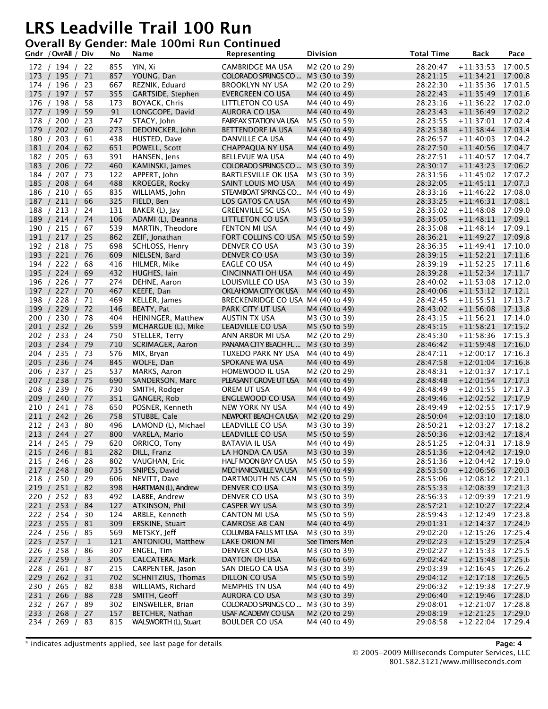#### **Overall By Gender: Male 100mi Run Continued**

|     | Gndr / OvrAll / Div        |              | No         | Name                              | Representing                                  | <b>Division</b>                | <b>Total Time</b>    | <b>Back</b>                                | Pace    |
|-----|----------------------------|--------------|------------|-----------------------------------|-----------------------------------------------|--------------------------------|----------------------|--------------------------------------------|---------|
|     | 172 / 194 / 22             |              | 855        | YIN, Xi                           | CAMBRIDGE MA USA                              | M2 (20 to 29)                  | 28:20:47             | $+11:33:53$                                | 17:00.5 |
|     | 173 / 195 /                | 71           | 857        | YOUNG, Dan                        | COLORADO SPRINGS CO                           | M3 (30 to 39)                  | 28:21:15             | $+11:34:21$ 17:00.8                        |         |
|     | 174 / 196 /                | 23           | 667        | REZNIK, Eduard                    | <b>BROOKLYN NY USA</b>                        | M2 (20 to 29)                  | 28:22:30             | $+11:35:36$                                | 17:01.5 |
|     | 175 / 197 /                | 57           | 355        | GARTSIDE, Stephen                 | EVERGREEN CO USA                              | M4 (40 to 49)                  | 28:22:43             | $+11:35:49$ 17:01.6                        |         |
|     | 176 / 198 /                | 58           | 173        | BOYACK, Chris                     | LITTLETON CO USA                              | M4 (40 to 49)                  | 28:23:16             | $+11:36:22$ 17:02.0                        |         |
|     | 177 / 199 /                | 59           | 91         | LONGCOPE, David                   | AURORA CO USA                                 | M4 (40 to 49)                  | 28:23:43             | $+11:36:49$                                | 17:02.2 |
|     | 178 / 200 /                | -23          | 747        | STACY, John                       | <b>FAIRFAX STATION VA USA</b>                 | M5 (50 to 59)                  | 28:23:55             | +11:37:01 17:02.4                          |         |
|     | 179 / 202 /                | 60           | 273        | DEDONCKER, John                   | BETTENDORF IA USA                             | M4 (40 to 49)                  | 28:25:38             | $+11:38:44$ 17:03.4                        |         |
|     | 180 / 203 /                | 61           | 438        | HUSTED, Dave                      | DANVILLE CA USA                               | M4 (40 to 49)                  | 28:26:57             | $+11:40:03$                                | 17:04.2 |
|     | 181 / 204 /                | 62           | 651        | POWELL, Scott                     | CHAPPAQUA NY USA                              | M4 (40 to 49)                  | 28:27:50             | $+11:40:56$ 17:04.7                        |         |
|     | 182 / 205 /                | 63           | 391        | HANSEN, Jens                      | <b>BELLEVUE WA USA</b>                        | M4 (40 to 49)                  | 28:27:51             | $+11:40:57$ 17:04.7                        |         |
|     | 183 / 206 /                | 72           | 460        | KAMINSKI, James                   | COLORADO SPRINGS CO                           | M3 (30 to 39)                  | 28:30:17             | $+11:43:23$                                | 17:06.2 |
|     | 184 / 207 / 73             |              | 122        | APPERT, John                      | BARTLESVILLE OK USA                           | M3 (30 to 39)                  | 28:31:56             | $+11:45:02$ 17:07.2                        |         |
|     | 185 / 208 /                | 64           | 488        | KROEGER, Rocky                    | SAINT LOUIS MO USA                            | M4 (40 to 49)                  | 28:32:05             | $+11:45:11$ 17:07.3                        |         |
|     | 186 / 210 /                | 65           | 835        | WILLIAMS, John                    | STEAMBOAT SPRINGS CO                          | M4 (40 to 49)                  | 28:33:16             | $+11:46:22$ 17:08.0                        |         |
|     | 187 / 211 /                | 66           | 325        | FIELD, Ben                        | LOS GATOS CA USA                              | M4 (40 to 49)                  | 28:33:25             | $+11:46:31$ 17:08.1                        |         |
|     | 188 / 213 /                | 24           | 131        | BAKER (L), Jay                    | <b>GREENVILLE SC USA</b>                      | M5 (50 to 59)                  | 28:35:02             | $+11:48:08$ 17:09.0                        |         |
|     | 189 / 214 /                | 74           | 106        | ADAMI (L), Deanna                 | LITTLETON CO USA                              | M3 (30 to 39)                  | 28:35:05             | $+11:48:11$                                | 17:09.1 |
|     | 190 / 215 / 67             |              | 539        | MARTIN, Theodore                  | FENTON MI USA                                 | M4 (40 to 49)                  | 28:35:08             | $+11:48:14$ 17:09.1                        |         |
|     | 191 / 217 / 25             |              | 862        | ZEIF, Jonathan                    | FORT COLLINS CO USA                           | M5 (50 to 59)                  | 28:36:21             | $+11:49:27$ 17:09.8                        |         |
|     | 192 / 218 /                | -75          | 698        | SCHLOSS, Henry                    | DENVER CO USA                                 | M3 (30 to 39)                  | 28:36:35             | $+11:49:41$ 17:10.0                        |         |
|     | 193 / 221 /                | 76           | 609        | NIELSEN, Bard                     | DENVER CO USA                                 | M3 (30 to 39)                  | 28:39:15             | $+11:52:21$ 17:11.6                        |         |
|     | 194 / 222 /                | 68           | 416        | HILMER, Mike                      | EAGLE CO USA                                  | M4 (40 to 49)                  | 28:39:19             | $+11:52:25$ 17:11.6                        |         |
|     | 195 / 224 /                | 69           | 432        | HUGHES, lain                      | CINCINNATI OH USA                             | M4 (40 to 49)                  | 28:39:28             | $+11:52:34$ 17:11.7                        |         |
|     | 196 / 226 /                | 77           | 274        | DEHNE, Aaron                      | LOUISVILLE CO USA                             | M3 (30 to 39)                  | 28:40:02             | $+11:53:08$ 17:12.0                        |         |
|     | 197 / 227 /                | 70           | 467        | KEEFE, Dan                        | OKLAHOMA CITY OK USA                          | M4 (40 to 49)                  | 28:40:06             | $+11:53:12$ 17:12.1                        |         |
|     | 198 / 228 /                | 71           | 469        | KELLER, James                     | BRECKENRIDGE CO USA M4 (40 to 49)             |                                | 28:42:45             | $+11:55:51$ 17:13.7                        |         |
|     | 199 / 229 /                | 72           | 146        | BEATY, Pat                        | PARK CITY UT USA                              | M4 (40 to 49)                  | 28:43:02             | $+11:56:08$ 17:13.8                        |         |
|     | 200 / 230 /                | 78           | 404        | HEININGER, Matthew                | AUSTIN TX USA                                 | M3 (30 to 39)                  | 28:43:15             | $+11:56:21$ 17:14.0                        |         |
|     | 201 / 232 /                | 26           | 559        | MCHARGUE (L), Mike                | LEADVILLE CO USA                              | M5 (50 to 59)                  | 28:45:15             | $+11:58:21$ 17:15.2                        |         |
|     | 202 / 233 /                | 24           | 750        | STELLER, Terry                    | ANN ARBOR MI USA                              | M2 (20 to 29)                  | 28:45:30             | $+11:58:36$ 17:15.3                        |         |
|     | 203 / 234 /                | 79           | 710        | SCRIMAGER, Aaron                  | PANAMA CITY BEACH FL                          | M3 (30 to 39)                  | 28:46:42             | $+11:59:48$ 17:16.0                        |         |
|     | 204 / 235 /                | -73          | 576        | MIX, Bryan                        | TUXEDO PARK NY USA                            | M4 (40 to 49)                  | 28:47:11             | $+12:00:17$ 17:16.3                        |         |
|     | 205 / 236 /                | 74           | 845        | WOLFE, Dan                        | SPOKANE WA USA                                | M4 (40 to 49)                  | 28:47:58             | $+12:01:04$ 17:16.8                        |         |
|     | 206 / 237 / 25             |              | 537        | MARKS, Aaron                      | HOMEWOOD IL USA                               | M2 (20 to 29)                  | 28:48:31             | $+12:01:37$ 17:17.1                        |         |
|     | 207 / 238 /                | 75           | 690        | SANDERSON, Marc                   | PLEASANT GROVE UT USA                         | M4 (40 to 49)                  | 28:48:48             | $+12:01:54$                                | 17:17.3 |
|     | 208 / 239 /                | 76           | 730        | SMITH, Rodger                     | OREM UT USA                                   | M4 (40 to 49)                  | 28:48:49             | $+12:01:55$ 17:17.3                        |         |
|     | 209 / 240 /                | 77           | 351        | GANGER, Rob                       | ENGLEWOOD CO USA                              | M4 (40 to 49)                  | 28:49:46             | $+12:02:52$ 17:17.9                        |         |
|     | 210 / 241 /                | 78           | 650        | POSNER, Kenneth                   | NEW YORK NY USA                               | M4 (40 to 49)                  | 28:49:49             | $+12:02:55$ 17:17.9                        |         |
|     | 211 / 242 /                | 26           | 758        | STUBBE, Cale                      | NEWPORT BEACH CA USA                          | M2 (20 to 29)                  | 28:50:04             | $+12:03:10$ 17:18.0                        |         |
|     | 212 / 243 /                | 80           | 496        | LAMOND (L), Michael               | LEADVILLE CO USA                              | M3 (30 to 39)                  | 28:50:21             | $+12:03:27$ 17:18.2                        |         |
| 213 | /244/                      | 27           | 800        | VARELA, Mario                     | LEADVILLE CO USA                              | M5 (50 to 59)                  | 28:50:36             | $+12:03:42$ 17:18.4                        |         |
|     | 214 / 245 / 79             |              | 620        | ORRICO, Tony                      | BATAVIA IL USA                                | M4 (40 to 49)                  | 28:51:25             | $+12:04:31$ 17:18.9                        |         |
|     | 215 / 246 /                | 81           | 282        | DILL, Franz                       | LA HONDA CA USA                               | M3 (30 to 39)                  | 28:51:36             | $+12:04:42$ 17:19.0                        |         |
|     | 215 / 246 /                | 28           | 802        | VAUGHAN, Eric                     | HALF MOON BAY CA USA                          | M5 (50 to 59)                  | 28:51:36             | $+12:04:42$ 17:19.0                        |         |
|     | 217 / 248 /                | 80           | 735        | SNIPES, David                     | MECHANICSVILLE VA USA                         | M4 (40 to 49)                  | 28:53:50             | $+12:06:56$ 17:20.3                        |         |
|     | 218 / 250 / 29             |              | 606        | NEVITT, Dave                      | DARTMOUTH NS CAN                              | M5 (50 to 59)                  | 28:55:06             | $+12:08:12$ 17:21.1                        |         |
|     | 219 / 251 /                | 82           | 398        | HARTMAN (L), Andrew               | DENVER CO USA                                 | M3 (30 to 39)                  | 28:55:33             | $+12:08:39$ 17:21.3                        |         |
|     | 220 / 252 /                | 83           | 492        | LABBE, Andrew                     | DENVER CO USA<br><b>CASPER WY USA</b>         | M3 (30 to 39)                  | 28:56:33             | $+12:09:39$ 17:21.9                        |         |
|     | 221 / 253 /                | 84<br>30     | 127<br>124 | ATKINSON, Phil                    | <b>CANTON MI USA</b>                          | M3 (30 to 39)                  | 28:57:21             | $+12:10:27$ 17:22.4                        |         |
|     | 222 / 254 /<br>223 / 255 / | 81           | 309        | ARBLE, Kenneth<br>ERSKINE, Stuart | <b>CAMROSE AB CAN</b>                         | M5 (50 to 59)<br>M4 (40 to 49) | 28:59:43<br>29:01:31 | $+12:12:49$ 17:23.8<br>$+12:14:37$ 17:24.9 |         |
|     | 224 / 256 / 85             |              | 569        | METSKY, Jeff                      |                                               | M3 (30 to 39)                  | 29:02:20             | $+12:15:26$ 17:25.4                        |         |
|     | 225 / 257 /                | $\mathbf{1}$ | 121        | ANTONIOU, Matthew                 | COLUMBIA FALLS MT USA<br><b>LAKE ORION MI</b> | See Timers Men                 | 29:02:23             | $+12:15:29$ 17:25.4                        |         |
|     | 226 / 258 /                |              | 307        | ENGEL, Tim                        |                                               | M3 (30 to 39)                  | 29:02:27             | $+12:15:33$ 17:25.5                        |         |
|     | 227 / 259 /                | 86<br>3      | 205        | CALCATERA, Mark                   | DENVER CO USA<br>DAYTON OH USA                | M6 (60 to 69)                  | 29:02:42             | $+12:15:48$ 17:25.6                        |         |
|     | 228 / 261 /                | 87           | 215        | CARPENTER, Jason                  | SAN DIEGO CA USA                              | M3 (30 to 39)                  | 29:03:39             | $+12:16:45$ 17:26.2                        |         |
|     | 229 / 262 /                | 31           | 702        | SCHNITZIUS, Thomas                | DILLON CO USA                                 | M5 (50 to 59)                  | 29:04:12             | $+12:17:18$ 17:26.5                        |         |
|     | 230 / 265 / 82             |              | 838        | WILLIAMS, Richard                 | MEMPHIS TN USA                                | M4 (40 to 49)                  | 29:06:32             | $+12:19:38$ 17:27.9                        |         |
|     | 231 / 266 /                | 88           | 728        | SMITH, Geoff                      | <b>AURORA CO USA</b>                          | M3 (30 to 39)                  | 29:06:40             | $+12:19:46$ 17:28.0                        |         |
|     | 232 / 267 /                | 89           | 302        | EINSWEILER, Brian                 | COLORADO SPRINGS CO                           | M3 (30 to 39)                  | 29:08:01             | $+12:21:07$ 17:28.8                        |         |
|     | 233 / 268 / 27             |              | 157        | BETCHER, Nathan                   | USAF ACADEMY CO USA                           | M2 (20 to 29)                  | 29:08:19             | $+12:21:25$ 17:29.0                        |         |
|     | 234 / 269 / 83             |              | 815        | WALSWORTH (L), Stuart             | <b>BOULDER CO USA</b>                         | M4 (40 to 49)                  | 29:08:58             | $+12:22:04$ 17:29.4                        |         |
|     |                            |              |            |                                   |                                               |                                |                      |                                            |         |

\* indicates adjustments applied, see last page for details **Page: 4**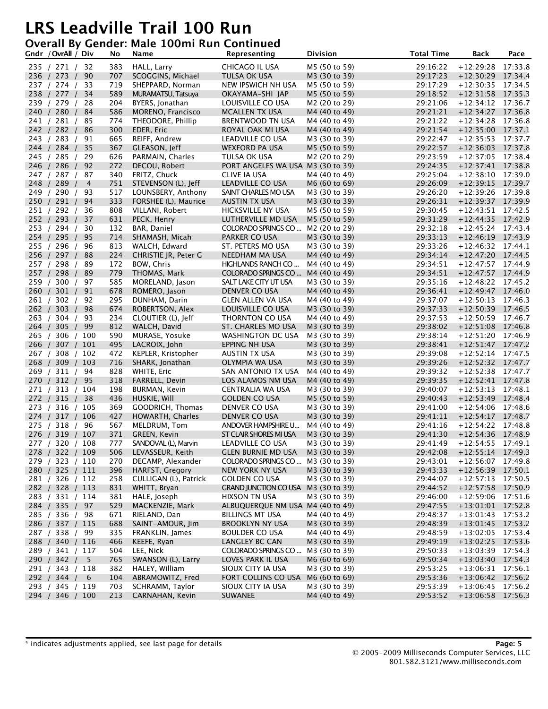#### **Overall By Gender: Male 100mi Run Continued**

|     | Gndr / OvrAll / Div              | No         | Name                               | Representing                                   | <b>Division</b>                | <b>Total Time</b>    | <b>Back</b>                                | Pace    |
|-----|----------------------------------|------------|------------------------------------|------------------------------------------------|--------------------------------|----------------------|--------------------------------------------|---------|
|     | 235 / 271 / 32                   | 383        | HALL, Larry                        | CHICAGO IL USA                                 | M5 (50 to 59)                  | 29:16:22             | $+12:29:28$ 17:33.8                        |         |
|     | 236 / 273 /<br>90                | 707        | SCOGGINS, Michael                  | TULSA OK USA                                   | M3 (30 to 39)                  | 29:17:23             | $+12:30:29$ 17:34.4                        |         |
|     | 237 / 274 /<br>33                | 719        | SHEPPARD, Norman                   | NEW IPSWICH NH USA                             | M5 (50 to 59)                  | 29:17:29             | $+12:30:35$ 17:34.5                        |         |
|     | 238 / 277 /<br>34                | 589        | MURAMATSU, Tatsuya                 | OKAYAMA-SHI JAP                                | M5 (50 to 59)                  | 29:18:52             | $+12:31:58$ 17:35.3                        |         |
|     | 239 / 279 / 28                   | 204        | BYERS, Jonathan                    | LOUISVILLE CO USA                              | M2 (20 to 29)                  | 29:21:06             | $+12:34:12$ 17:36.7                        |         |
|     | 84<br>240 / 280 /                | 586        | MORENO, Francisco                  | <b>MCALLEN TX USA</b>                          | M4 (40 to 49)                  | 29:21:21             | $+12:34:27$ 17:36.8                        |         |
|     | 241 / 281 /<br>85                | 774        | THEODORE, Phillip                  | BRENTWOOD TN USA                               | M4 (40 to 49)                  | 29:21:22             | $+12:34:28$ 17:36.8                        |         |
|     | 242 / 282 /<br>86                | 300        | EDER, Eric                         | ROYAL OAK MI USA                               | M4 (40 to 49)                  | 29:21:54             | $+12:35:00$ 17:37.1                        |         |
|     | 243 / 283 /<br>91                | 665        | REIFF, Andrew                      | LEADVILLE CO USA                               | M3 (30 to 39)                  | 29:22:47             | $+12:35:53$ 17:37.7                        |         |
|     | 35<br>244 / 284 /                | 367        | GLEASON, Jeff                      | WEXFORD PA USA                                 | M5 (50 to 59)                  | 29:22:57             | $+12:36:03$ 17:37.8                        |         |
|     | 245 / 285 / 29                   | 626        | PARMAIN, Charles                   | TULSA OK USA                                   | M2 (20 to 29)                  | 29:23:59             | $+12:37:05$ 17:38.4                        |         |
|     | 92<br>246 / 286 /                | 272        | DECOU, Robert                      | PORT ANGELES WA USA M3 (30 to 39)              |                                | 29:24:35             | $+12:37:41$ 17:38.8                        |         |
|     | 247 / 287 / 87                   | 340        | FRITZ, Chuck                       | CLIVE IA USA                                   | M4 (40 to 49)                  | 29:25:04             | $+12:38:10$ 17:39.0                        |         |
|     | 248 / 289 /<br>$\overline{4}$    | 751        | STEVENSON (L), Jeff                | <b>LEADVILLE CO USA</b>                        | M6 (60 to 69)                  | 29:26:09             | $+12:39:15$ 17:39.7                        |         |
|     | 249 / 290 /<br>93                | 517        | LOUNSBERY, Anthony                 | SAINT CHARLES MO USA                           | M3 (30 to 39)                  | 29:26:20             | $+12:39:26$ 17:39.8                        |         |
|     | 250 / 291 /<br>94                | 333        | FORSHEE (L), Maurice               | AUSTIN TX USA                                  | M3 (30 to 39)                  | 29:26:31             | $+12:39:37$ 17:39.9                        |         |
|     | 251 / 292 /<br>-36               | 808        | VILLANI, Robert                    | HICKSVILLE NY USA                              | M5 (50 to 59)                  | 29:30:45             | $+12:43:51$ 17:42.5                        |         |
|     | 252 / 293 /<br>37                | 631        | PECK, Henry                        | LUTHERVILLE MD USA                             | M5 (50 to 59)                  | 29:31:29             | $+12:44:35$                                | 17:42.9 |
|     | 253 / 294 /<br>30                | 132        | BAR, Daniel                        | COLORADO SPRINGS CO                            | M2 (20 to 29)                  | 29:32:18             | $+12:45:24$ 17:43.4                        |         |
|     | 254 / 295 /<br>95                | 714        | SHAMASH, Micah                     | PARKER CO USA                                  | M3 (30 to 39)                  | 29:33:13             | $+12:46:19$ 17:43.9                        |         |
|     | 255 / 296 /<br>96                | 813        | WALCH, Edward                      | ST. PETERS MO USA                              | M3 (30 to 39)                  | 29:33:26             | $+12:46:32$ 17:44.1                        |         |
|     | 256 / 297 /<br>88                | 224        | CHRISTIE JR, Peter G               | NEEDHAM MA USA                                 | M4 (40 to 49)                  | 29:34:14             | $+12:47:20$ 17:44.5                        |         |
|     | 257 / 298 /<br>89                | 172        | BOW, Chris                         | HIGHLANDS RANCH CO                             | M4 (40 to 49)                  | 29:34:51             | $+12:47:57$ 17:44.9                        |         |
|     | 89<br>257 / 298 /                | 779        | THOMAS, Mark                       | COLORADO SPRINGS CO                            | M4 (40 to 49)                  | 29:34:51             | $+12:47:57$ 17:44.9                        |         |
|     | 259 / 300 /<br>97                | 585        | MORELAND, Jason                    | SALT LAKE CITY UT USA                          | M3 (30 to 39)                  | 29:35:16             | $+12:48:22$ 17:45.2                        |         |
|     | 260 / 301 /<br>91                | 678        | ROMERO, Jason                      | DENVER CO USA                                  | M4 (40 to 49)                  | 29:36:41             | $+12:49:47$ 17:46.0                        |         |
|     | 261 / 302 /<br>92                | 295        | DUNHAM, Darin                      | GLEN ALLEN VA USA                              | M4 (40 to 49)                  | 29:37:07             | $+12:50:13$ 17:46.3                        |         |
|     | 262 / 303 /<br>98                | 674        | ROBERTSON, Alex                    | LOUISVILLE CO USA                              | M3 (30 to 39)                  | 29:37:33             | $+12:50:39$ 17:46.5                        |         |
|     | 263 / 304 /<br>93                | 234        | CLOUTIER (L), Jeff                 | THORNTON CO USA                                | M4 (40 to 49)                  | 29:37:53             | $+12:50:59$ 17:46.7                        |         |
|     | 264 / 305 /<br>99                | 812        | WALCH, David                       | ST. CHARLES MO USA                             | M3 (30 to 39)                  | 29:38:02             | $+12:51:08$ 17:46.8                        |         |
|     | 265 / 306 / 100                  | 590        | MURASE, Yosuke                     | WASHINGTON DC USA                              | M3 (30 to 39)                  | 29:38:14             | $+12:51:20$ 17:46.9                        |         |
|     | 266 / 307 / 101                  | 495        | LACROIX, John                      | EPPING NH USA                                  | M3 (30 to 39)                  | 29:38:41             | $+12:51:47$ 17:47.2                        |         |
|     | 267 / 308 / 102                  | 472        | KEPLER, Kristopher                 | AUSTIN TX USA                                  | M3 (30 to 39)                  | 29:39:08             | $+12:52:14$ 17:47.5                        |         |
|     | 268 / 309 / 103                  | 716        | SHARK, Jonathan                    | OLYMPIA WA USA                                 | M3 (30 to 39)                  | 29:39:26             | $+12:52:32$ 17:47.7                        |         |
|     | 269 / 311 / 94                   | 828        | WHITE, Eric                        | SAN ANTONIO TX USA                             | M4 (40 to 49)                  | 29:39:32             | $+12:52:38$ 17:47.7                        |         |
|     | 95<br>270 / 312 /                | 318        | FARRELL, Devin                     | LOS ALAMOS NM USA                              | M4 (40 to 49)                  | 29:39:35             | $+12:52:41$ 17:47.8                        |         |
|     | 271 / 313 / 104                  | 198        | BURMAN, Kevin                      | CENTRALIA WA USA                               | M3 (30 to 39)                  | 29:40:07             | $+12:53:13$ $17:48.1$                      |         |
|     | 272 / 315 / 38                   | 436        | HUSKIE, Will                       | GOLDEN CO USA                                  | M5 (50 to 59)                  | 29:40:43             | $+12:53:49$ 17:48.4                        |         |
|     | 273 / 316 / 105                  | 369        | GOODRICH, Thomas                   | DENVER CO USA                                  | M3 (30 to 39)                  | 29:41:00             | $+12:54:06$                                | 17:48.6 |
|     | 274 / 317 / 106                  | 427        | HOWARTH, Charles                   | DENVER CO USA                                  | M3 (30 to 39)                  | 29:41:11             | $+12:54:17$ 17:48.7                        |         |
|     | 275 / 318 / 96                   | 567        | MELDRUM, Tom                       | ANDOVER HAMPSHIRE U                            | M4 (40 to 49)                  | 29:41:16             | $+12:54:22$ 17:48.8                        |         |
| 276 | /319/<br>107                     | 371        | GREEN, Kevin                       | ST CLAIR SHORES MI USA                         | M3 (30 to 39)                  | 29:41:30             | $+12:54:36$                                | 17:48.9 |
|     | 277 / 320 / 108                  | 777        | SANDOVAL (L), Marvin               | LEADVILLE CO USA                               | M3 (30 to 39)                  | 29:41:49             | $+12:54:55$ 17:49.1                        |         |
|     | 278 / 322 / 109                  | 506        | LEVASSEUR, Keith                   | <b>GLEN BURNIE MD USA</b>                      | M3 (30 to 39)                  | 29:42:08             | $+12:55:14$ 17:49.3                        |         |
|     | 279 / 323 / 110                  | 270        | DECAMP, Alexander                  | COLORADO SPRINGS CO                            | M3 (30 to 39)                  | 29:43:01             | $+12:56:07$ 17:49.8                        |         |
|     | 280 / 325 / 111                  | 396        | <b>HARFST, Gregory</b>             | NEW YORK NY USA                                | M3 (30 to 39)                  | 29:43:33             | $+12:56:39$ 17:50.1                        |         |
|     | 281 / 326 / 112                  | 258        | CULLIGAN (L), Patrick              | <b>GOLDEN CO USA</b>                           | M3 (30 to 39)                  | 29:44:07             | $+12:57:13$ 17:50.5                        |         |
|     | 282 / 328 / 113                  | 831        | WHITT, Bryan                       | <b>GRAND JUNCTION CO USA</b>                   | M3 (30 to 39)                  | 29:44:52             | +12:57:58 17:50.9                          |         |
|     | 283 / 331 / 114                  | 381        | HALE, Joseph                       | HIXSON TN USA                                  | M3 (30 to 39)                  | 29:46:00             | $+12:59:06$ 17:51.6                        |         |
|     | 284 / 335 / 97                   | 529        | MACKENZIE, Mark                    | ALBUQUERQUE NM USA M4 (40 to 49)               |                                | 29:47:55             | $+13:01:01$ 17:52.8                        |         |
|     | 285 / 336 / 98                   | 671        | RIELAND, Dan                       | BILLINGS MT USA                                | M4 (40 to 49)                  | 29:48:37             | $+13:01:43$ 17:53.2                        |         |
|     | 286 / 337 / 115                  | 688        | SAINT-AMOUR, Jim                   | <b>BROOKLYN NY USA</b>                         | M3 (30 to 39)                  | 29:48:39             | $+13:01:45$ 17:53.2                        |         |
|     | 287 / 338 / 99                   | 335        | FRANKLIN, James                    | <b>BOULDER CO USA</b><br><b>LANGLEY BC CAN</b> | M4 (40 to 49)                  | 29:48:59             | $+13:02:05$ 17:53.4                        |         |
|     | 288 / 340 / 116                  | 466        | KEEFE, Ryan                        |                                                | M3 (30 to 39)<br>M3 (30 to 39) | 29:49:19             | +13:02:25 17:53.6                          |         |
|     | 289 / 341 / 117                  | 504        | LEE, Nick<br>SWANSON (L), Larry    | COLORADO SPRINGS CO                            |                                | 29:50:33<br>29:50:34 | $+13:03:39$ 17:54.3                        |         |
|     | 290 / 342 / 5<br>291 / 343 / 118 | 765<br>382 |                                    | LOVES PARK IL USA                              | M6 (60 to 69)<br>M3 (30 to 39) |                      | $+13:03:40$ 17:54.3                        |         |
|     | 292 / 344 /                      | 104        | HALEY, William<br>ABRAMOWITZ, Fred | SIOUX CITY IA USA<br>FORT COLLINS CO USA       | M6 (60 to 69)                  | 29:53:25<br>29:53:36 | $+13:06:31$ 17:56.1                        |         |
|     | 6<br>293 / 345 / 119             | 703        | SCHRAMM, Taylor                    | SIOUX CITY IA USA                              | M3 (30 to 39)                  |                      | $+13:06:42$ 17:56.2<br>$+13:06:45$ 17:56.2 |         |
|     | 294 / 346 / 100                  | 213        | CARNAHAN, Kevin                    | SUWANEE                                        | M4 (40 to 49)                  | 29:53:39<br>29:53:52 | $+13:06:58$ 17:56.3                        |         |
|     |                                  |            |                                    |                                                |                                |                      |                                            |         |

\* indicates adjustments applied, see last page for details **Page: 5**